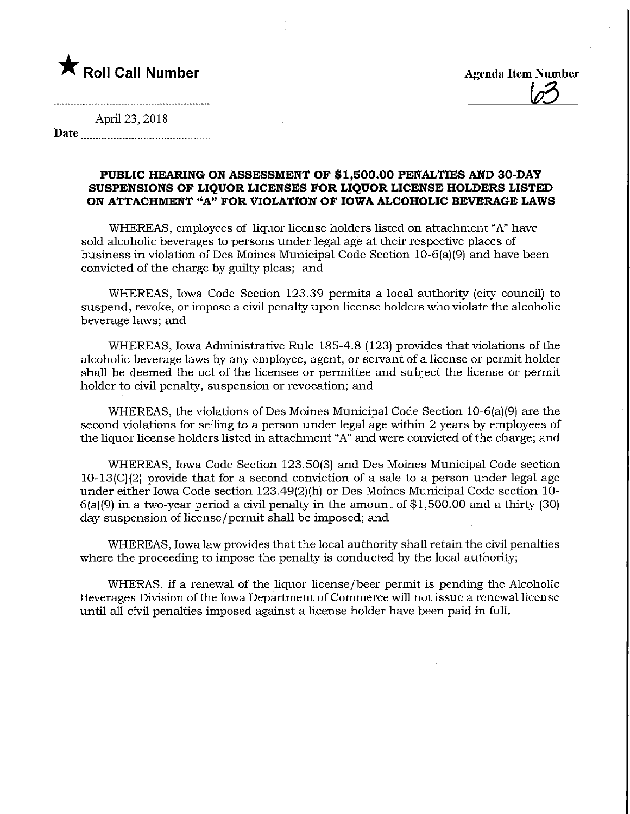

 $\overline{\omega}$ 

April 23, 2018 Date

## PUBLIC HEARING ON ASSESSMENT OF \$1,500.00 PENALTIES AND 30-DAY SUSPENSIONS OF LIQUOR LICENSES FOR LIQUOR LICENSE HOLDERS LISTED ON ATTACHMENT "A" FOR VIOLATION OF IOWA ALCOHOLIC BEVERAGE LAWS

WHEREAS, employees of liquor license holders listed on attachment "A" have sold alcoholic beverages to persons under legal age at their respective places of business in violation of Des Moines Municipal Code Section 10-6(a)(9) and have been convicted of the charge by guilty pleas; and

WHEREAS, Iowa Code Section 123.39 permits a local authority (city council) to suspend, revoke, or impose a civil penalty upon license holders who violate the alcoholic beverage laws; and

WHEREAS, Iowa Administrative Rule 185-4.8 (123) provides that violations of the alcoholic beverage laws by any employee, agent, or servant of a license or permit holder shall be deemed the act of the licensee or permittee and subject the license or permit holder to civil penalty, suspension or revocation; and

WHEREAS, the violations of Des Moines Municipal Code Section 10-6(a)(9) are the second violations for selling to a person under legal age within 2 years by employees of the liquor license holders listed in attachment "A" and were convicted of the charge; and

WHEREAS, Iowa Code Section 123.50(3) and Des Moines Municipal Code section  $10-13(C)(2)$  provide that for a second conviction of a sale to a person under legal age under either Iowa Code section 123.49(2)(h) or Des Moines Municipal Code section 10- 6(a)(9) in a two-year period a civil penalty in the amount of \$1,500.00 and a thirty (30) day suspension of license /permit shall be imposed; and

WHEREAS, Iowa law provides that the local authority shall retain the civil penalties where the proceeding to impose the penalty is conducted by the local authority;

WHERAS, if a renewal of the liquor license/beer permit is pending the Alcoholic Beverages Division of the Iowa Department of Commerce will not issue a renewal license until all civil penalties imposed against a license holder have been paid in full.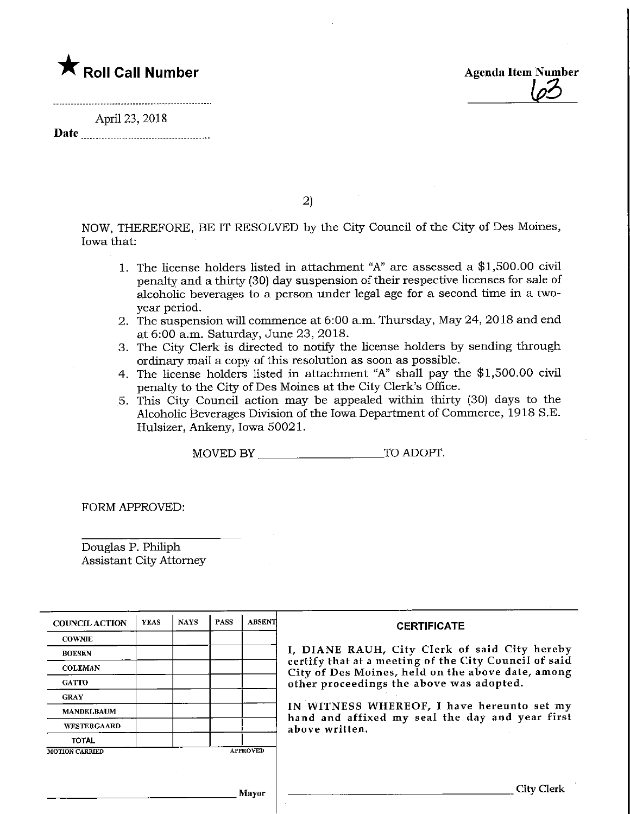

April 23, 2018 Date



2)

NOW, THEREFORE, BE IT RESOLVED by the City Council of the City of Des Moines, Iowa that:

- 1. The license holders listed in attachment "A" are assessed a \$1,500.00 civil penalty and a thirty (30) day suspension of their respective licenses for sale of alcoholic beverages to a person under legal age for a second time in a twoyear period.
- 2. The suspension will commence at 6:00 a.m. Thursday, May 24, 2018 and end at 6:00 a.m. Saturday, June 23,2018.
- 3. The City Clerk is directed to notify the license holders by sending through ordinary mail a copy of this resolution as soon as possible.
- 4. The license holders listed in attachment "A" shall pay the \$1,500.00 civil penalty to the City of Des Moines at the City Clerk's Office.
- 5. This City Council action may be appealed within thirty (30) days to the Alcoholic Beverages Division of the Iowa Department of Commerce, 1918 S.E. Hulsizer, Ankeny, Iowa 50021.

MOVED BY TO ADOPT.

FORM APPROVED:

Douglas P. Philiph Assistant City Attorney

| <b>COUNCIL ACTION</b> | <b>YEAS</b> | <b>NAYS</b> | <b>PASS</b> | ABSENT          | <b>CERTIFICATE</b>                                                                                         |
|-----------------------|-------------|-------------|-------------|-----------------|------------------------------------------------------------------------------------------------------------|
| <b>COWNIE</b>         |             |             |             |                 |                                                                                                            |
| <b>BOESEN</b>         |             |             |             |                 | I, DIANE RAUH, City Clerk of said City hereby                                                              |
| <b>COLEMAN</b>        |             |             |             |                 | certify that at a meeting of the City Council of said<br>City of Des Moines, held on the above date, among |
| <b>GATTO</b>          |             |             |             |                 | other proceedings the above was adopted.                                                                   |
| <b>GRAY</b>           |             |             |             |                 |                                                                                                            |
| <b>MANDELBAUM</b>     |             |             |             |                 | IN WITNESS WHEREOF, I have hereunto set my<br>hand and affixed my seal the day and year first              |
| <b>WESTERGAARD</b>    |             |             |             |                 | above written.                                                                                             |
| <b>TOTAL</b>          |             |             |             |                 |                                                                                                            |
| <b>MOTION CARRIED</b> |             |             |             | <b>APPROVED</b> |                                                                                                            |
|                       |             |             |             |                 |                                                                                                            |
|                       |             |             |             |                 |                                                                                                            |
|                       |             |             |             | Mayor           |                                                                                                            |